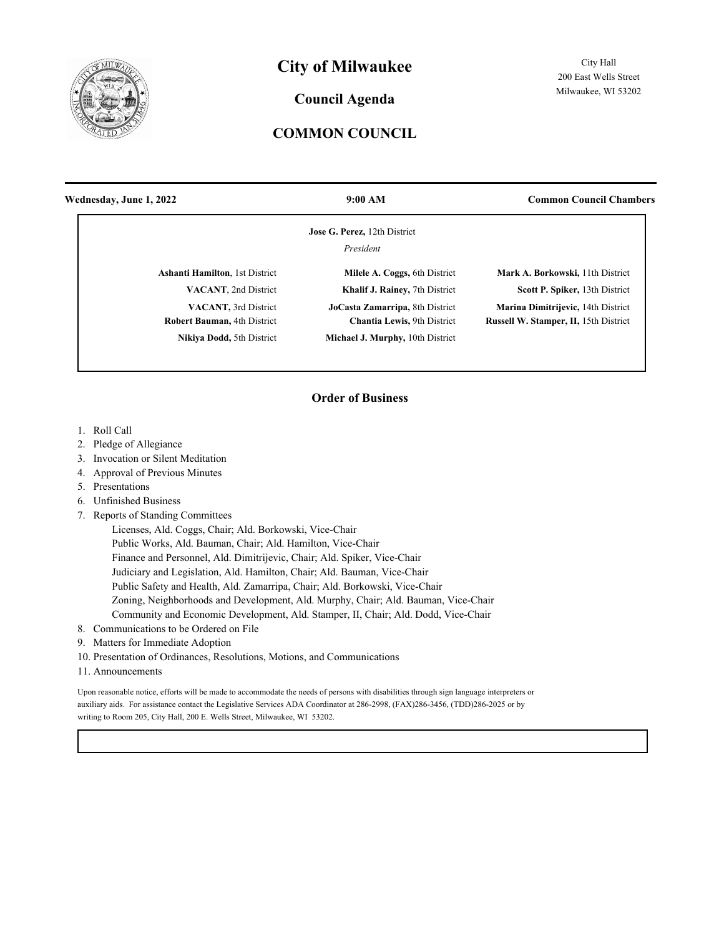

## **City of Milwaukee**

#### **Council Agenda**

### **COMMON COUNCIL**

| 9:00 AM                                                        | <b>Common Council Chambers</b>                                                     |
|----------------------------------------------------------------|------------------------------------------------------------------------------------|
| Jose G. Perez, 12th District                                   |                                                                                    |
| President                                                      |                                                                                    |
| Milele A. Coggs, 6th District                                  | Mark A. Borkowski, 11th District                                                   |
| Khalif J. Rainey, 7th District                                 | Scott P. Spiker, 13th District                                                     |
| JoCasta Zamarripa, 8th District<br>Chantia Lewis, 9th District | Marina Dimitrijevic, 14th District<br><b>Russell W. Stamper, II, 15th District</b> |
| <b>Michael J. Murphy, 10th District</b>                        |                                                                                    |
|                                                                |                                                                                    |

#### **Order of Business**

- 1. Roll Call
- 2. Pledge of Allegiance
- 3. Invocation or Silent Meditation
- 4. Approval of Previous Minutes
- 5. Presentations
- 6. Unfinished Business
- 7. Reports of Standing Committees

 Licenses, Ald. Coggs, Chair; Ald. Borkowski, Vice-Chair Public Works, Ald. Bauman, Chair; Ald. Hamilton, Vice-Chair Finance and Personnel, Ald. Dimitrijevic, Chair; Ald. Spiker, Vice-Chair Judiciary and Legislation, Ald. Hamilton, Chair; Ald. Bauman, Vice-Chair Public Safety and Health, Ald. Zamarripa, Chair; Ald. Borkowski, Vice-Chair Zoning, Neighborhoods and Development, Ald. Murphy, Chair; Ald. Bauman, Vice-Chair Community and Economic Development, Ald. Stamper, II, Chair; Ald. Dodd, Vice-Chair

- 8. Communications to be Ordered on File
- 9. Matters for Immediate Adoption
- 10. Presentation of Ordinances, Resolutions, Motions, and Communications
- 11. Announcements

Upon reasonable notice, efforts will be made to accommodate the needs of persons with disabilities through sign language interpreters or auxiliary aids. For assistance contact the Legislative Services ADA Coordinator at 286-2998, (FAX)286-3456, (TDD)286-2025 or by writing to Room 205, City Hall, 200 E. Wells Street, Milwaukee, WI 53202.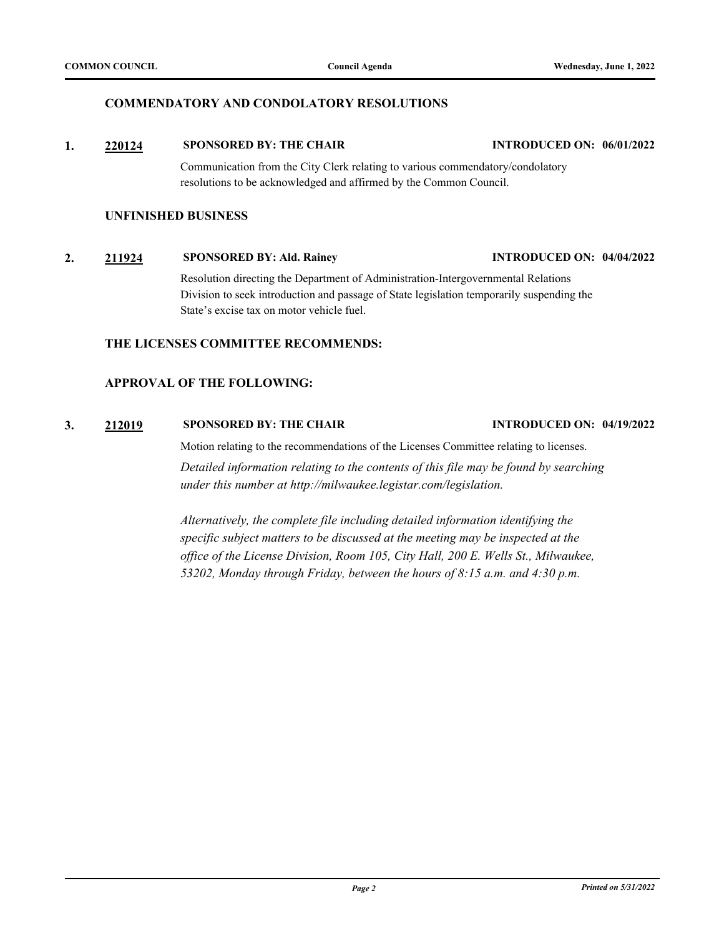#### **COMMENDATORY AND CONDOLATORY RESOLUTIONS**

#### **1. [220124](http://milwaukee.legistar.com/gateway.aspx?m=l&id=62193) SPONSORED BY: THE CHAIR INTRODUCED ON: 06/01/2022**

Communication from the City Clerk relating to various commendatory/condolatory resolutions to be acknowledged and affirmed by the Common Council.

#### **UNFINISHED BUSINESS**

## **2. [211924](http://milwaukee.legistar.com/gateway.aspx?m=l&id=61787) SPONSORED BY: Ald. Rainey INTRODUCED ON: 04/04/2022**

Resolution directing the Department of Administration-Intergovernmental Relations Division to seek introduction and passage of State legislation temporarily suspending the State's excise tax on motor vehicle fuel.

#### **THE LICENSES COMMITTEE RECOMMENDS:**

#### **APPROVAL OF THE FOLLOWING:**

#### **3. [212019](http://milwaukee.legistar.com/gateway.aspx?m=l&id=61767) SPONSORED BY: THE CHAIR INTRODUCED ON: 04/19/2022**

Motion relating to the recommendations of the Licenses Committee relating to licenses. *Detailed information relating to the contents of this file may be found by searching under this number at http://milwaukee.legistar.com/legislation.*

*Alternatively, the complete file including detailed information identifying the specific subject matters to be discussed at the meeting may be inspected at the office of the License Division, Room 105, City Hall, 200 E. Wells St., Milwaukee, 53202, Monday through Friday, between the hours of 8:15 a.m. and 4:30 p.m.*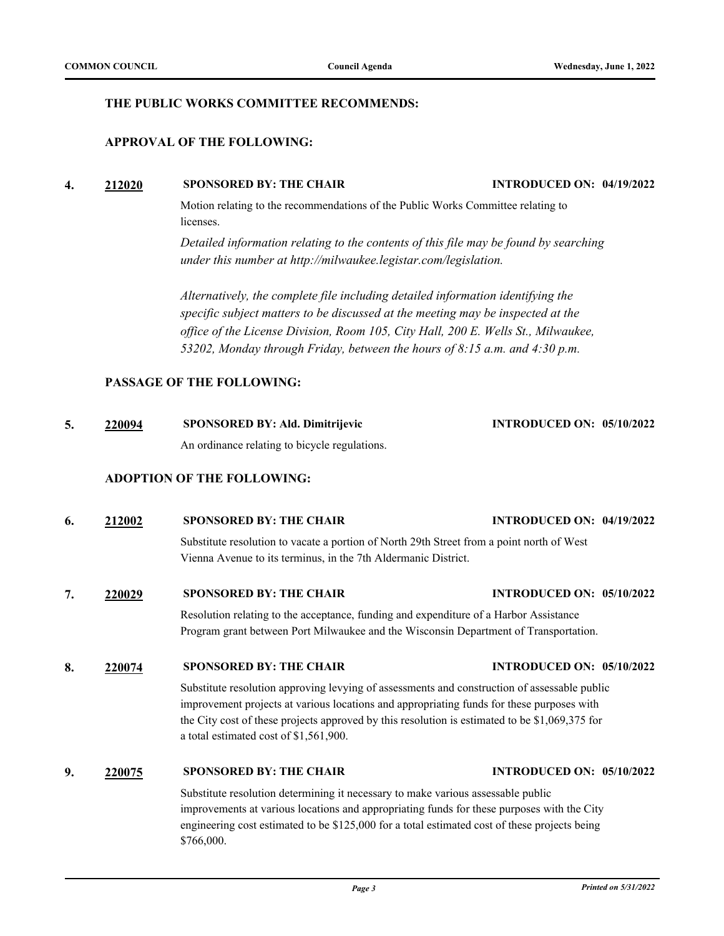#### **THE PUBLIC WORKS COMMITTEE RECOMMENDS:**

#### **APPROVAL OF THE FOLLOWING:**

#### **4. [212020](http://milwaukee.legistar.com/gateway.aspx?m=l&id=61768) SPONSORED BY: THE CHAIR INTRODUCED ON: 04/19/2022**

Motion relating to the recommendations of the Public Works Committee relating to licenses.

*Detailed information relating to the contents of this file may be found by searching under this number at http://milwaukee.legistar.com/legislation.*

*Alternatively, the complete file including detailed information identifying the specific subject matters to be discussed at the meeting may be inspected at the office of the License Division, Room 105, City Hall, 200 E. Wells St., Milwaukee, 53202, Monday through Friday, between the hours of 8:15 a.m. and 4:30 p.m.*

#### **PASSAGE OF THE FOLLOWING:**

| 220094 | <b>SPONSORED BY: Ald. Dimitrijevic</b>        | <b>INTRODUCED ON: 05/10/2022</b> |  |
|--------|-----------------------------------------------|----------------------------------|--|
|        | An ordinance relating to bicycle regulations. |                                  |  |

#### **ADOPTION OF THE FOLLOWING:**

# **6. [212002](http://milwaukee.legistar.com/gateway.aspx?m=l&id=61933) SPONSORED BY: THE CHAIR INTRODUCED ON: 04/19/2022** Substitute resolution to vacate a portion of North 29th Street from a point north of West

Vienna Avenue to its terminus, in the 7th Aldermanic District.

**7. [220029](http://milwaukee.legistar.com/gateway.aspx?m=l&id=62026) SPONSORED BY: THE CHAIR INTRODUCED ON: 05/10/2022**

Resolution relating to the acceptance, funding and expenditure of a Harbor Assistance Program grant between Port Milwaukee and the Wisconsin Department of Transportation.

#### **8. [220074](http://milwaukee.legistar.com/gateway.aspx?m=l&id=62101) SPONSORED BY: THE CHAIR INTRODUCED ON: 05/10/2022**

Substitute resolution approving levying of assessments and construction of assessable public improvement projects at various locations and appropriating funds for these purposes with the City cost of these projects approved by this resolution is estimated to be \$1,069,375 for a total estimated cost of \$1,561,900.

#### **9. [220075](http://milwaukee.legistar.com/gateway.aspx?m=l&id=62102) SPONSORED BY: THE CHAIR INTRODUCED ON: 05/10/2022**

Substitute resolution determining it necessary to make various assessable public improvements at various locations and appropriating funds for these purposes with the City engineering cost estimated to be \$125,000 for a total estimated cost of these projects being \$766,000.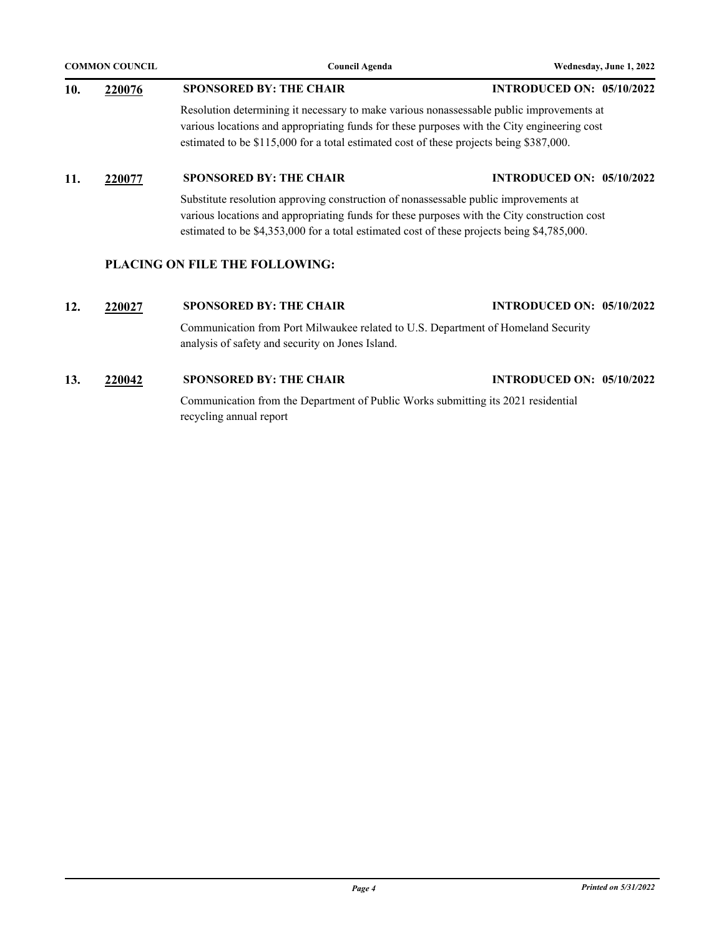| <b>COMMON COUNCIL</b> |        | <b>Council Agenda</b>                                                                                                                                                                                                                                                               | Wednesday, June 1, 2022          |
|-----------------------|--------|-------------------------------------------------------------------------------------------------------------------------------------------------------------------------------------------------------------------------------------------------------------------------------------|----------------------------------|
| 10.                   | 220076 | <b>SPONSORED BY: THE CHAIR</b>                                                                                                                                                                                                                                                      | <b>INTRODUCED ON: 05/10/2022</b> |
|                       |        | Resolution determining it necessary to make various nonassessable public improvements at<br>various locations and appropriating funds for these purposes with the City engineering cost<br>estimated to be \$115,000 for a total estimated cost of these projects being \$387,000.  |                                  |
| 11.                   | 220077 | <b>INTRODUCED ON: 05/10/2022</b>                                                                                                                                                                                                                                                    |                                  |
|                       |        | Substitute resolution approving construction of nonassessable public improvements at<br>various locations and appropriating funds for these purposes with the City construction cost<br>estimated to be \$4,353,000 for a total estimated cost of these projects being \$4,785,000. |                                  |

#### **PLACING ON FILE THE FOLLOWING:**

#### **12. [220027](http://milwaukee.legistar.com/gateway.aspx?m=l&id=62024) SPONSORED BY: THE CHAIR INTRODUCED ON: 05/10/2022**

Communication from Port Milwaukee related to U.S. Department of Homeland Security analysis of safety and security on Jones Island.

### **13. [220042](http://milwaukee.legistar.com/gateway.aspx?m=l&id=62067) SPONSORED BY: THE CHAIR INTRODUCED ON: 05/10/2022**

Communication from the Department of Public Works submitting its 2021 residential recycling annual report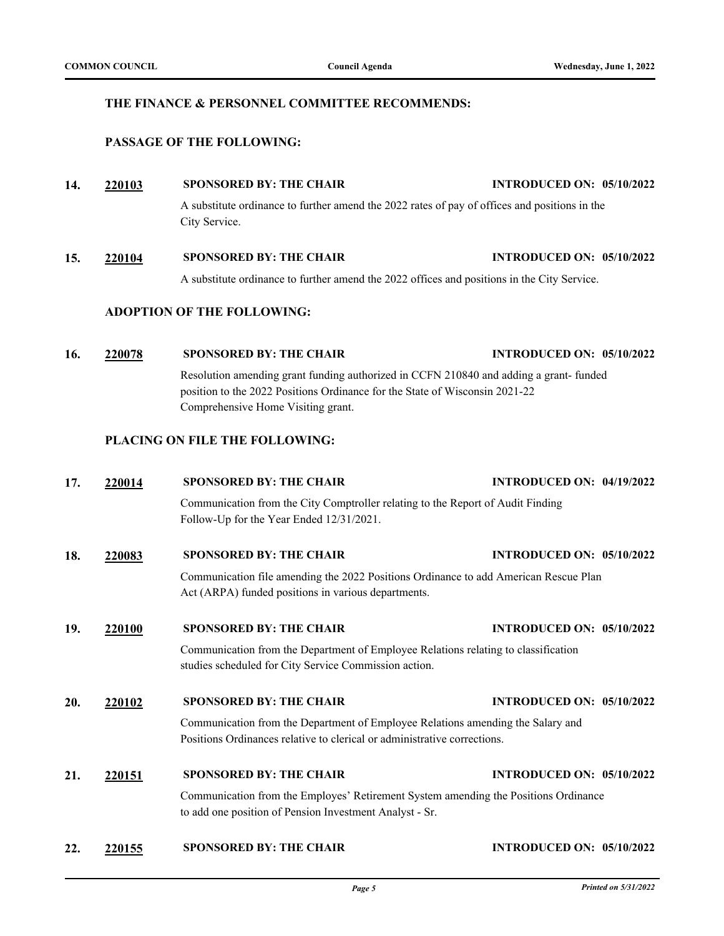#### **THE FINANCE & PERSONNEL COMMITTEE RECOMMENDS:**

#### **PASSAGE OF THE FOLLOWING:**

# **14. [220103](http://milwaukee.legistar.com/gateway.aspx?m=l&id=62129) SPONSORED BY: THE CHAIR INTRODUCED ON: 05/10/2022**

A substitute ordinance to further amend the 2022 rates of pay of offices and positions in the City Service.

# **15. [220104](http://milwaukee.legistar.com/gateway.aspx?m=l&id=62130) SPONSORED BY: THE CHAIR INTRODUCED ON: 05/10/2022**

A substitute ordinance to further amend the 2022 offices and positions in the City Service.

#### **ADOPTION OF THE FOLLOWING:**

#### **16. [220078](http://milwaukee.legistar.com/gateway.aspx?m=l&id=62162) SPONSORED BY: THE CHAIR INTRODUCED ON: 05/10/2022**

Resolution amending grant funding authorized in CCFN 210840 and adding a grant- funded position to the 2022 Positions Ordinance for the State of Wisconsin 2021-22 Comprehensive Home Visiting grant.

#### **PLACING ON FILE THE FOLLOWING:**

# **17. [220014](http://milwaukee.legistar.com/gateway.aspx?m=l&id=62010) SPONSORED BY: THE CHAIR INTRODUCED ON: 04/19/2022** Communication from the City Comptroller relating to the Report of Audit Finding Follow-Up for the Year Ended 12/31/2021. **18. [220083](http://milwaukee.legistar.com/gateway.aspx?m=l&id=62110) SPONSORED BY: THE CHAIR INTRODUCED ON: 05/10/2022** Communication file amending the 2022 Positions Ordinance to add American Rescue Plan Act (ARPA) funded positions in various departments. **19. [220100](http://milwaukee.legistar.com/gateway.aspx?m=l&id=61996) SPONSORED BY: THE CHAIR INTRODUCED ON: 05/10/2022** Communication from the Department of Employee Relations relating to classification studies scheduled for City Service Commission action. **20. [220102](http://milwaukee.legistar.com/gateway.aspx?m=l&id=62128) SPONSORED BY: THE CHAIR INTRODUCED ON: 05/10/2022** Communication from the Department of Employee Relations amending the Salary and Positions Ordinances relative to clerical or administrative corrections. **21. [220151](http://milwaukee.legistar.com/gateway.aspx?m=l&id=62246) SPONSORED BY: THE CHAIR INTRODUCED ON: 05/10/2022** Communication from the Employes' Retirement System amending the Positions Ordinance to add one position of Pension Investment Analyst - Sr. **22. [220155](http://milwaukee.legistar.com/gateway.aspx?m=l&id=62256) SPONSORED BY: THE CHAIR INTRODUCED ON: 05/10/2022**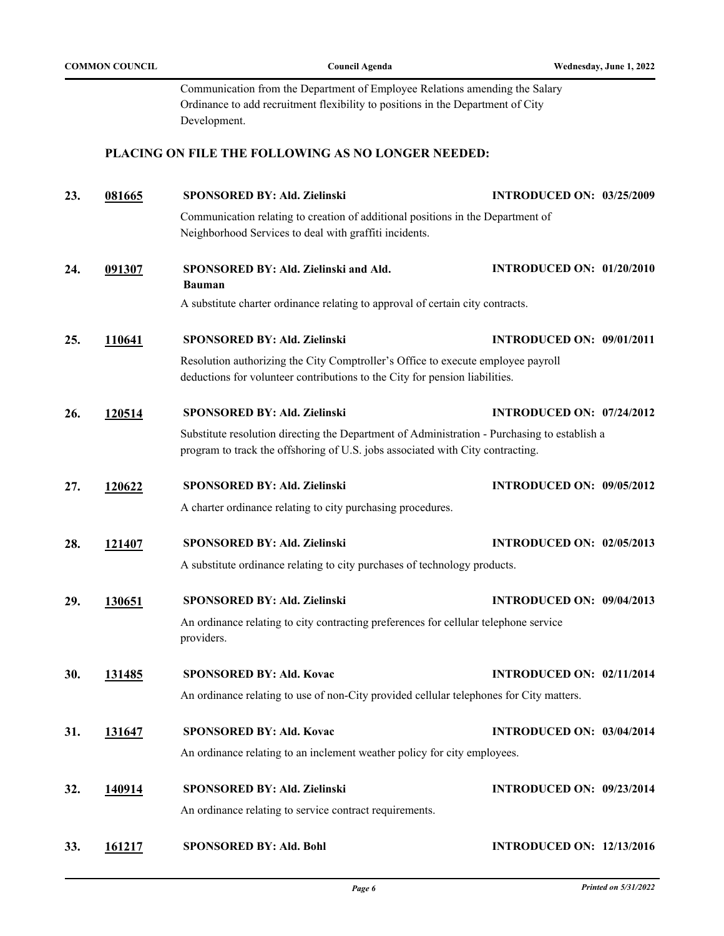|     |               | Communication from the Department of Employee Relations amending the Salary<br>Ordinance to add recruitment flexibility to positions in the Department of City<br>Development. |                                  |  |  |
|-----|---------------|--------------------------------------------------------------------------------------------------------------------------------------------------------------------------------|----------------------------------|--|--|
|     |               | PLACING ON FILE THE FOLLOWING AS NO LONGER NEEDED:                                                                                                                             |                                  |  |  |
| 23. | 081665        | <b>SPONSORED BY: Ald. Zielinski</b>                                                                                                                                            | <b>INTRODUCED ON: 03/25/2009</b> |  |  |
|     |               | Communication relating to creation of additional positions in the Department of<br>Neighborhood Services to deal with graffiti incidents.                                      |                                  |  |  |
| 24. | 091307        | SPONSORED BY: Ald. Zielinski and Ald.<br><b>Bauman</b>                                                                                                                         | <b>INTRODUCED ON: 01/20/2010</b> |  |  |
|     |               | A substitute charter ordinance relating to approval of certain city contracts.                                                                                                 |                                  |  |  |
| 25. | 110641        | <b>SPONSORED BY: Ald. Zielinski</b>                                                                                                                                            | <b>INTRODUCED ON: 09/01/2011</b> |  |  |
|     |               | Resolution authorizing the City Comptroller's Office to execute employee payroll<br>deductions for volunteer contributions to the City for pension liabilities.                |                                  |  |  |
| 26. | <u>120514</u> | <b>SPONSORED BY: Ald. Zielinski</b>                                                                                                                                            | <b>INTRODUCED ON: 07/24/2012</b> |  |  |
|     |               | Substitute resolution directing the Department of Administration - Purchasing to establish a<br>program to track the offshoring of U.S. jobs associated with City contracting. |                                  |  |  |
| 27. | 120622        | <b>SPONSORED BY: Ald. Zielinski</b>                                                                                                                                            | <b>INTRODUCED ON: 09/05/2012</b> |  |  |
|     |               | A charter ordinance relating to city purchasing procedures.                                                                                                                    |                                  |  |  |
| 28. | 121407        | <b>SPONSORED BY: Ald. Zielinski</b>                                                                                                                                            | <b>INTRODUCED ON: 02/05/2013</b> |  |  |
|     |               | A substitute ordinance relating to city purchases of technology products.                                                                                                      |                                  |  |  |
| 29. | 130651        | <b>SPONSORED BY: Ald. Zielinski</b>                                                                                                                                            | <b>INTRODUCED ON: 09/04/2013</b> |  |  |
|     |               | An ordinance relating to city contracting preferences for cellular telephone service<br>providers.                                                                             |                                  |  |  |
| 30. | <u>131485</u> | <b>SPONSORED BY: Ald. Kovac</b>                                                                                                                                                | <b>INTRODUCED ON: 02/11/2014</b> |  |  |
|     |               | An ordinance relating to use of non-City provided cellular telephones for City matters.                                                                                        |                                  |  |  |
| 31. | 131647        | <b>SPONSORED BY: Ald. Kovac</b>                                                                                                                                                | <b>INTRODUCED ON: 03/04/2014</b> |  |  |
|     |               | An ordinance relating to an inclement weather policy for city employees.                                                                                                       |                                  |  |  |
| 32. | <u>140914</u> | SPONSORED BY: Ald. Zielinski                                                                                                                                                   | <b>INTRODUCED ON: 09/23/2014</b> |  |  |
|     |               | An ordinance relating to service contract requirements.                                                                                                                        |                                  |  |  |
| 33. | 161217        | <b>SPONSORED BY: Ald. Bohl</b>                                                                                                                                                 | <b>INTRODUCED ON: 12/13/2016</b> |  |  |

**COMMON COUNCIL COUNCIL COUNCIL COUNCIL COUNCIL COUNCIL COUNCIL COUNCIL COUNCIL COUNCIL COUNCIL**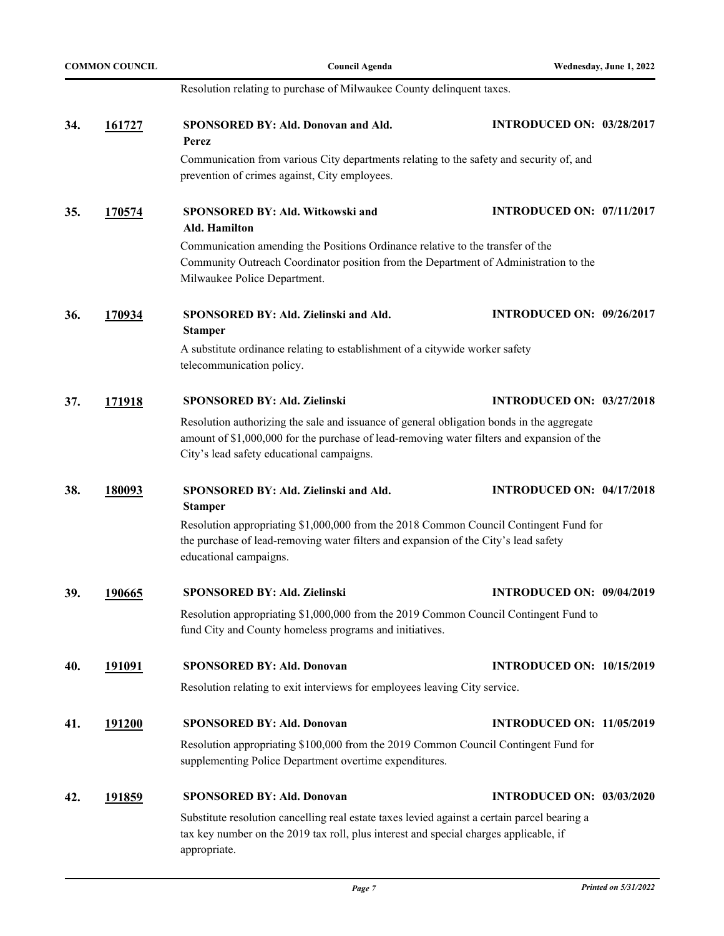|                                                                                                                                                                                       | <b>COMMON COUNCIL</b> | <b>Council Agenda</b>                                                                                                                                                                                                                | Wednesday, June 1, 2022          |
|---------------------------------------------------------------------------------------------------------------------------------------------------------------------------------------|-----------------------|--------------------------------------------------------------------------------------------------------------------------------------------------------------------------------------------------------------------------------------|----------------------------------|
|                                                                                                                                                                                       |                       | Resolution relating to purchase of Milwaukee County delinquent taxes.                                                                                                                                                                |                                  |
| 34.                                                                                                                                                                                   | 161727                | SPONSORED BY: Ald. Donovan and Ald.<br>Perez                                                                                                                                                                                         | <b>INTRODUCED ON: 03/28/2017</b> |
|                                                                                                                                                                                       |                       | Communication from various City departments relating to the safety and security of, and<br>prevention of crimes against, City employees.                                                                                             |                                  |
| 35.                                                                                                                                                                                   | <u>170574</u>         | SPONSORED BY: Ald. Witkowski and<br>Ald. Hamilton                                                                                                                                                                                    | <b>INTRODUCED ON: 07/11/2017</b> |
|                                                                                                                                                                                       |                       | Communication amending the Positions Ordinance relative to the transfer of the<br>Community Outreach Coordinator position from the Department of Administration to the<br>Milwaukee Police Department.                               |                                  |
| 36.                                                                                                                                                                                   | 170934                | SPONSORED BY: Ald. Zielinski and Ald.<br><b>Stamper</b>                                                                                                                                                                              | <b>INTRODUCED ON: 09/26/2017</b> |
|                                                                                                                                                                                       |                       | A substitute ordinance relating to establishment of a citywide worker safety<br>telecommunication policy.                                                                                                                            |                                  |
| 37.                                                                                                                                                                                   | 171918                | <b>SPONSORED BY: Ald. Zielinski</b>                                                                                                                                                                                                  | <b>INTRODUCED ON: 03/27/2018</b> |
|                                                                                                                                                                                       |                       | Resolution authorizing the sale and issuance of general obligation bonds in the aggregate<br>amount of \$1,000,000 for the purchase of lead-removing water filters and expansion of the<br>City's lead safety educational campaigns. |                                  |
| 38.                                                                                                                                                                                   | <u>180093</u>         | SPONSORED BY: Ald. Zielinski and Ald.<br><b>Stamper</b>                                                                                                                                                                              | <b>INTRODUCED ON: 04/17/2018</b> |
|                                                                                                                                                                                       |                       | Resolution appropriating \$1,000,000 from the 2018 Common Council Contingent Fund for<br>the purchase of lead-removing water filters and expansion of the City's lead safety<br>educational campaigns.                               |                                  |
| 39.                                                                                                                                                                                   | 190665                | SPONSORED BY: Ald. Zielinski                                                                                                                                                                                                         | <b>INTRODUCED ON: 09/04/2019</b> |
| Resolution appropriating \$1,000,000 from the 2019 Common Council Contingent Fund to<br>fund City and County homeless programs and initiatives.                                       |                       |                                                                                                                                                                                                                                      |                                  |
| 40.                                                                                                                                                                                   | <u>191091</u>         | <b>SPONSORED BY: Ald. Donovan</b>                                                                                                                                                                                                    | <b>INTRODUCED ON: 10/15/2019</b> |
| Resolution relating to exit interviews for employees leaving City service.                                                                                                            |                       |                                                                                                                                                                                                                                      |                                  |
| 41.                                                                                                                                                                                   | 191200                | <b>SPONSORED BY: Ald. Donovan</b>                                                                                                                                                                                                    | <b>INTRODUCED ON: 11/05/2019</b> |
|                                                                                                                                                                                       |                       | Resolution appropriating \$100,000 from the 2019 Common Council Contingent Fund for<br>supplementing Police Department overtime expenditures.                                                                                        |                                  |
| 42.                                                                                                                                                                                   | <u>191859</u>         | <b>SPONSORED BY: Ald. Donovan</b>                                                                                                                                                                                                    | <b>INTRODUCED ON: 03/03/2020</b> |
| Substitute resolution cancelling real estate taxes levied against a certain parcel bearing a<br>tax key number on the 2019 tax roll, plus interest and special charges applicable, if |                       |                                                                                                                                                                                                                                      |                                  |

appropriate.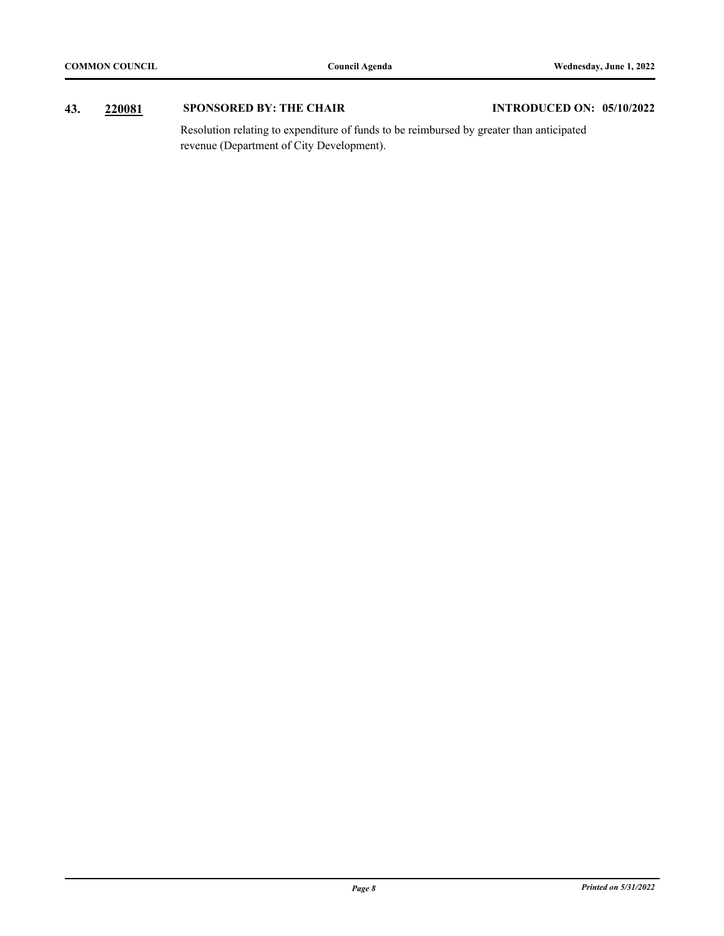### **43. [220081](http://milwaukee.legistar.com/gateway.aspx?m=l&id=62049) SPONSORED BY: THE CHAIR INTRODUCED ON: 05/10/2022**

Resolution relating to expenditure of funds to be reimbursed by greater than anticipated revenue (Department of City Development).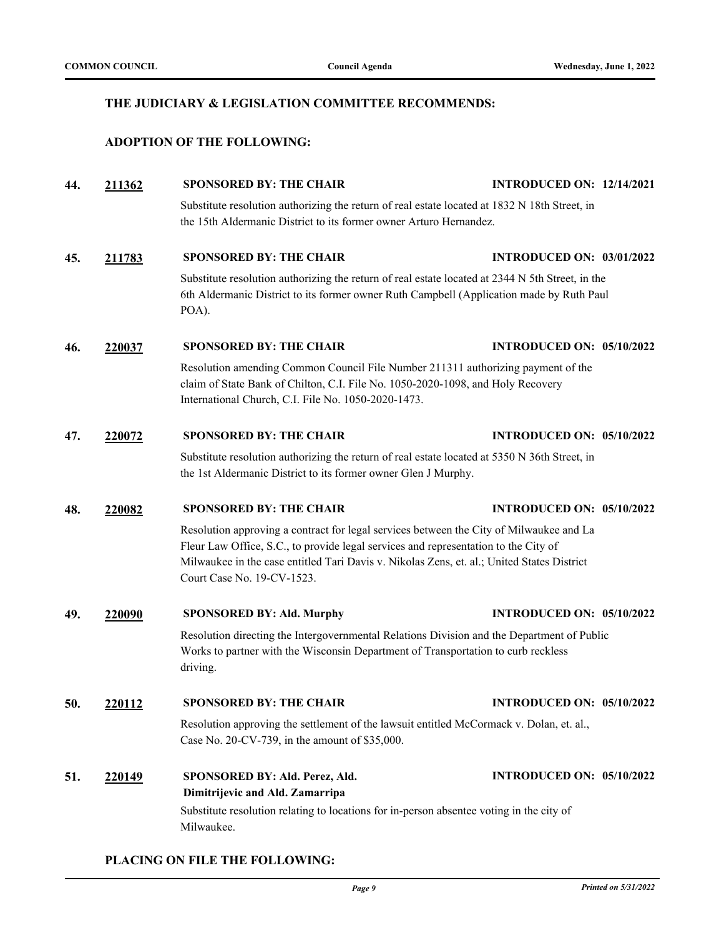#### **THE JUDICIARY & LEGISLATION COMMITTEE RECOMMENDS:**

#### **ADOPTION OF THE FOLLOWING:**

## **44. [211362](http://milwaukee.legistar.com/gateway.aspx?m=l&id=60958) SPONSORED BY: THE CHAIR INTRODUCED ON: 12/14/2021** Substitute resolution authorizing the return of real estate located at 1832 N 18th Street, in the 15th Aldermanic District to its former owner Arturo Hernandez.

#### **45. [211783](http://milwaukee.legistar.com/gateway.aspx?m=l&id=61555) SPONSORED BY: THE CHAIR INTRODUCED ON: 03/01/2022**

Substitute resolution authorizing the return of real estate located at 2344 N 5th Street, in the 6th Aldermanic District to its former owner Ruth Campbell (Application made by Ruth Paul POA).

#### **46. [220037](http://milwaukee.legistar.com/gateway.aspx?m=l&id=62042) SPONSORED BY: THE CHAIR INTRODUCED ON: 05/10/2022**

Resolution amending Common Council File Number 211311 authorizing payment of the claim of State Bank of Chilton, C.I. File No. 1050-2020-1098, and Holy Recovery International Church, C.I. File No. 1050-2020-1473.

#### **47. [220072](http://milwaukee.legistar.com/gateway.aspx?m=l&id=62099) SPONSORED BY: THE CHAIR INTRODUCED ON: 05/10/2022**

Substitute resolution authorizing the return of real estate located at 5350 N 36th Street, in the 1st Aldermanic District to its former owner Glen J Murphy.

#### **48. [220082](http://milwaukee.legistar.com/gateway.aspx?m=l&id=62109) SPONSORED BY: THE CHAIR INTRODUCED ON: 05/10/2022**

Resolution approving a contract for legal services between the City of Milwaukee and La Fleur Law Office, S.C., to provide legal services and representation to the City of Milwaukee in the case entitled Tari Davis v. Nikolas Zens, et. al.; United States District Court Case No. 19-CV-1523.

#### **49. [220090](http://milwaukee.legistar.com/gateway.aspx?m=l&id=62117) SPONSORED BY: Ald. Murphy INTRODUCED ON: 05/10/2022**

Resolution directing the Intergovernmental Relations Division and the Department of Public Works to partner with the Wisconsin Department of Transportation to curb reckless driving.

#### **50. [220112](http://milwaukee.legistar.com/gateway.aspx?m=l&id=62158) SPONSORED BY: THE CHAIR INTRODUCED ON: 05/10/2022**

Resolution approving the settlement of the lawsuit entitled McCormack v. Dolan, et. al., Case No. 20-CV-739, in the amount of \$35,000.

#### **51. [220149](http://milwaukee.legistar.com/gateway.aspx?m=l&id=62243) SPONSORED BY: Ald. Perez, Ald. Dimitrijevic and Ald. Zamarripa INTRODUCED ON: 05/10/2022**

Substitute resolution relating to locations for in-person absentee voting in the city of Milwaukee.

#### **PLACING ON FILE THE FOLLOWING:**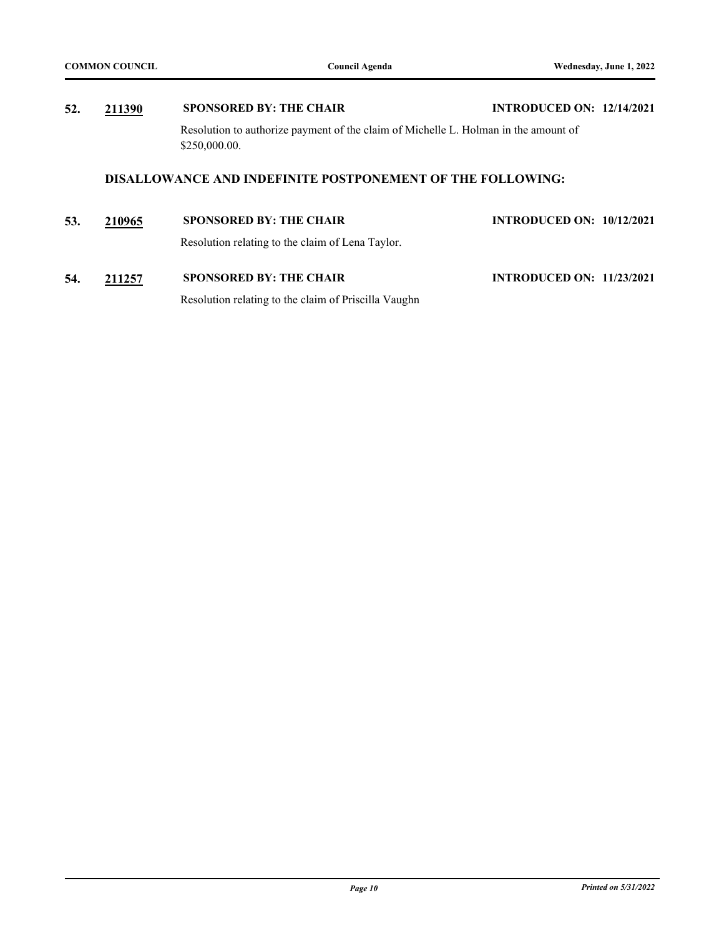# **52. [211390](http://milwaukee.legistar.com/gateway.aspx?m=l&id=60987) SPONSORED BY: THE CHAIR INTRODUCED ON: 12/14/2021** Resolution to authorize payment of the claim of Michelle L. Holman in the amount of \$250,000.00. **DISALLOWANCE AND INDEFINITE POSTPONEMENT OF THE FOLLOWING: 53. [210965](http://milwaukee.legistar.com/gateway.aspx?m=l&id=60376) SPONSORED BY: THE CHAIR INTRODUCED ON: 10/12/2021**

Resolution relating to the claim of Lena Taylor. **54. [211257](http://milwaukee.legistar.com/gateway.aspx?m=l&id=60808) SPONSORED BY: THE CHAIR INTRODUCED ON: 11/23/2021**

Resolution relating to the claim of Priscilla Vaughn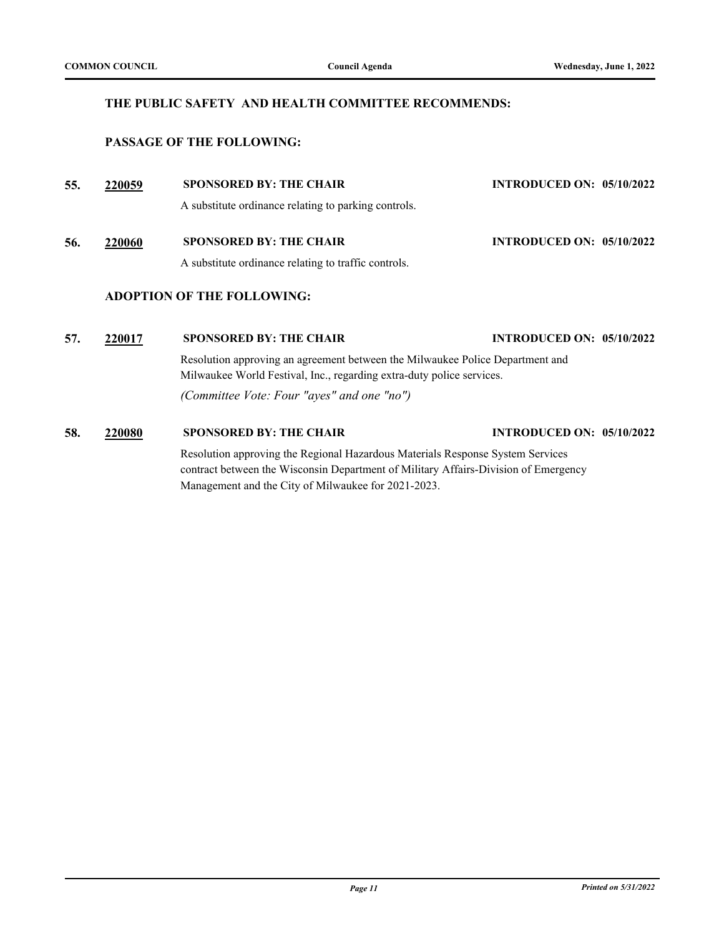#### **THE PUBLIC SAFETY AND HEALTH COMMITTEE RECOMMENDS:**

#### **PASSAGE OF THE FOLLOWING:**

| 55. | 220059        | <b>SPONSORED BY: THE CHAIR</b>                                                                                                                         | <b>INTRODUCED ON: 05/10/2022</b> |  |
|-----|---------------|--------------------------------------------------------------------------------------------------------------------------------------------------------|----------------------------------|--|
|     |               | A substitute ordinance relating to parking controls.                                                                                                   |                                  |  |
| 56. | 220060        | <b>SPONSORED BY: THE CHAIR</b>                                                                                                                         | <b>INTRODUCED ON: 05/10/2022</b> |  |
|     |               | A substitute ordinance relating to traffic controls.                                                                                                   |                                  |  |
|     |               | <b>ADOPTION OF THE FOLLOWING:</b>                                                                                                                      |                                  |  |
| 57. | 220017        | <b>SPONSORED BY: THE CHAIR</b>                                                                                                                         | <b>INTRODUCED ON: 05/10/2022</b> |  |
|     |               | Resolution approving an agreement between the Milwaukee Police Department and<br>Milwaukee World Festival, Inc., regarding extra-duty police services. |                                  |  |
|     |               | (Committee Vote: Four "ayes" and one "no")                                                                                                             |                                  |  |
| 58. | <b>220080</b> | <b>SPONSORED BY: THE CHAIR</b>                                                                                                                         | <b>INTRODUCED ON: 05/10/2022</b> |  |
|     |               | Description environment the Decianal Hazardous Materials Decrease System Services                                                                      |                                  |  |

Resolution approving the Regional Hazardous Materials Response System Services contract between the Wisconsin Department of Military Affairs-Division of Emergency Management and the City of Milwaukee for 2021-2023.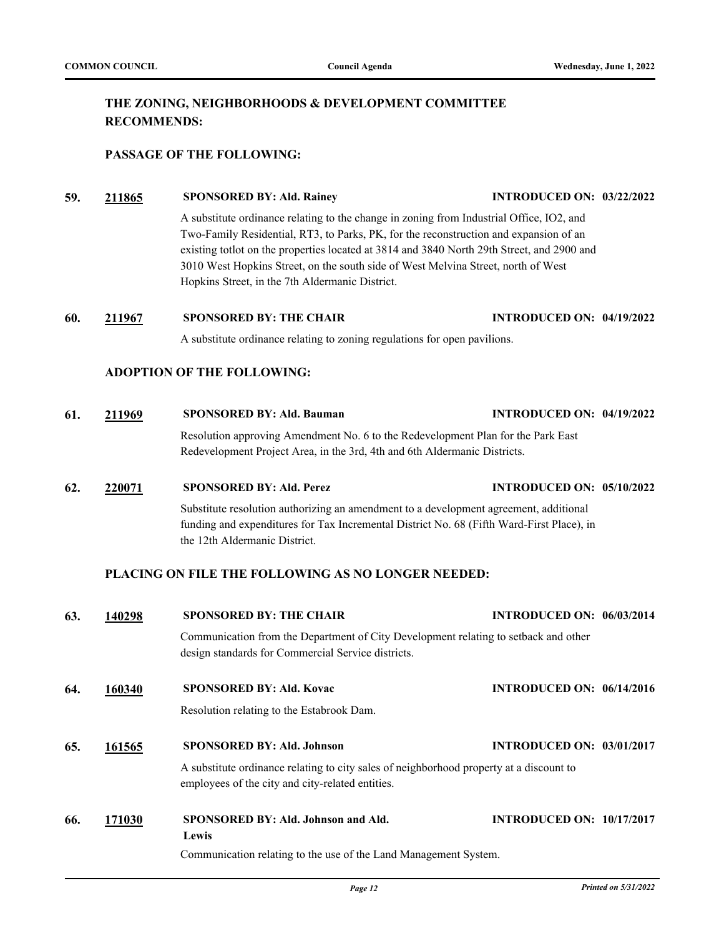### **THE ZONING, NEIGHBORHOODS & DEVELOPMENT COMMITTEE RECOMMENDS:**

#### **PASSAGE OF THE FOLLOWING:**

#### **59. [211865](http://milwaukee.legistar.com/gateway.aspx?m=l&id=61712) SPONSORED BY: Ald. Rainey INTRODUCED ON: 03/22/2022**

A substitute ordinance relating to the change in zoning from Industrial Office, IO2, and Two-Family Residential, RT3, to Parks, PK, for the reconstruction and expansion of an existing totlot on the properties located at 3814 and 3840 North 29th Street, and 2900 and 3010 West Hopkins Street, on the south side of West Melvina Street, north of West Hopkins Street, in the 7th Aldermanic District.

**60. [211967](http://milwaukee.legistar.com/gateway.aspx?m=l&id=61866) SPONSORED BY: THE CHAIR INTRODUCED ON: 04/19/2022**

A substitute ordinance relating to zoning regulations for open pavilions.

#### **ADOPTION OF THE FOLLOWING:**

- **61. [211969](http://milwaukee.legistar.com/gateway.aspx?m=l&id=61874) SPONSORED BY: Ald. Bauman INTRODUCED ON: 04/19/2022** Resolution approving Amendment No. 6 to the Redevelopment Plan for the Park East Redevelopment Project Area, in the 3rd, 4th and 6th Aldermanic Districts.
- **62. [220071](http://milwaukee.legistar.com/gateway.aspx?m=l&id=62096) SPONSORED BY: Ald. Perez INTRODUCED ON: 05/10/2022**

Substitute resolution authorizing an amendment to a development agreement, additional funding and expenditures for Tax Incremental District No. 68 (Fifth Ward-First Place), in the 12th Aldermanic District.

#### **PLACING ON FILE THE FOLLOWING AS NO LONGER NEEDED:**

| 63. | 140298 | <b>SPONSORED BY: THE CHAIR</b>                                                                                                              | <b>INTRODUCED ON: 06/03/2014</b> |
|-----|--------|---------------------------------------------------------------------------------------------------------------------------------------------|----------------------------------|
|     |        | Communication from the Department of City Development relating to setback and other<br>design standards for Commercial Service districts.   |                                  |
| 64. | 160340 | <b>SPONSORED BY: Ald. Kovac</b>                                                                                                             | <b>INTRODUCED ON: 06/14/2016</b> |
|     |        | Resolution relating to the Estabrook Dam.                                                                                                   |                                  |
| 65. | 161565 | <b>SPONSORED BY: Ald. Johnson</b>                                                                                                           | <b>INTRODUCED ON: 03/01/2017</b> |
|     |        | A substitute ordinance relating to city sales of neighborhood property at a discount to<br>employees of the city and city-related entities. |                                  |
| 66. | 171030 | SPONSORED BY: Ald. Johnson and Ald.                                                                                                         | <b>INTRODUCED ON: 10/17/2017</b> |
|     |        | Lewis<br>Communication relating to the use of the Land Management System.                                                                   |                                  |
|     |        |                                                                                                                                             |                                  |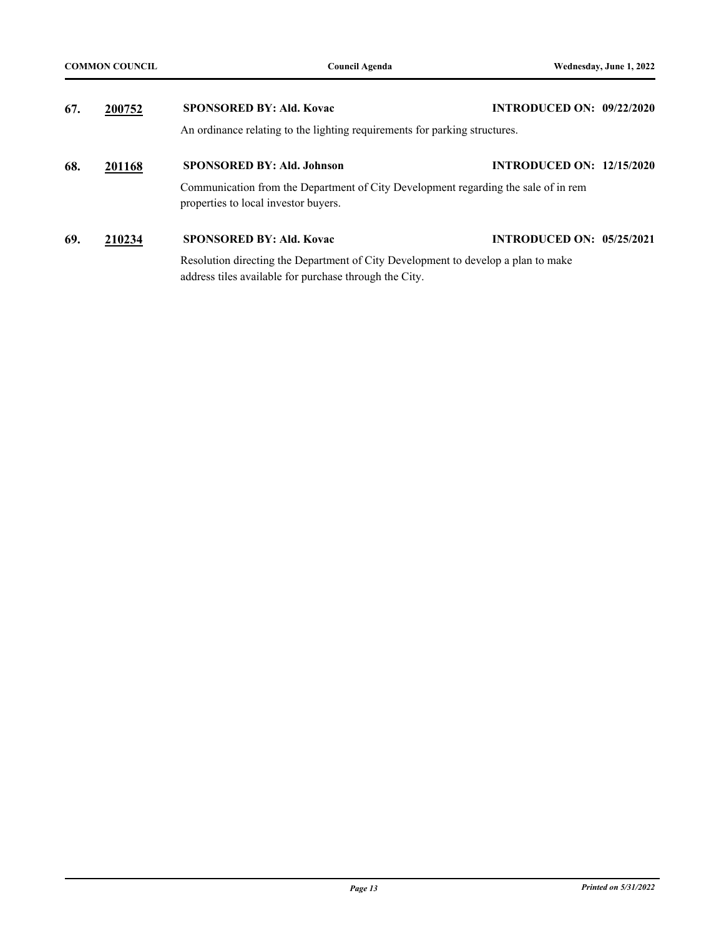| 67. | 200752 | <b>SPONSORED BY: Ald. Kovac</b>                                                                                                             | <b>INTRODUCED ON: 09/22/2020</b> |
|-----|--------|---------------------------------------------------------------------------------------------------------------------------------------------|----------------------------------|
|     |        | An ordinance relating to the lighting requirements for parking structures.                                                                  |                                  |
| 68. | 201168 | <b>SPONSORED BY: Ald. Johnson</b>                                                                                                           | <b>INTRODUCED ON: 12/15/2020</b> |
|     |        | Communication from the Department of City Development regarding the sale of in rem<br>properties to local investor buyers.                  |                                  |
| 69. | 210234 | <b>SPONSORED BY: Ald. Kovac</b>                                                                                                             | <b>INTRODUCED ON: 05/25/2021</b> |
|     |        | Resolution directing the Department of City Development to develop a plan to make<br>address tiles available for purchase through the City. |                                  |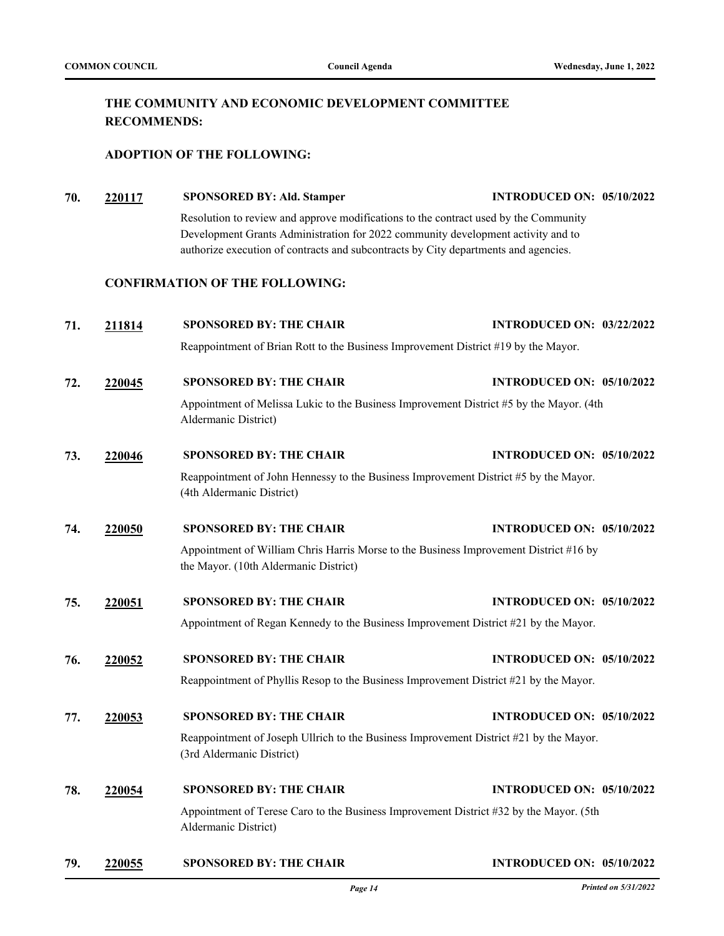### **THE COMMUNITY AND ECONOMIC DEVELOPMENT COMMITTEE RECOMMENDS:**

#### **ADOPTION OF THE FOLLOWING:**

**70. [220117](http://milwaukee.legistar.com/gateway.aspx?m=l&id=62165) SPONSORED BY: Ald. Stamper INTRODUCED ON: 05/10/2022** Resolution to review and approve modifications to the contract used by the Community Development Grants Administration for 2022 community development activity and to authorize execution of contracts and subcontracts by City departments and agencies. **CONFIRMATION OF THE FOLLOWING: 71. [211814](http://milwaukee.legistar.com/gateway.aspx?m=l&id=61609) SPONSORED BY: THE CHAIR INTRODUCED ON: 03/22/2022** Reappointment of Brian Rott to the Business Improvement District #19 by the Mayor. **72. [220045](http://milwaukee.legistar.com/gateway.aspx?m=l&id=62070) SPONSORED BY: THE CHAIR INTRODUCED ON: 05/10/2022** Appointment of Melissa Lukic to the Business Improvement District #5 by the Mayor. (4th Aldermanic District) **73. [220046](http://milwaukee.legistar.com/gateway.aspx?m=l&id=62071) SPONSORED BY: THE CHAIR INTRODUCED ON: 05/10/2022** Reappointment of John Hennessy to the Business Improvement District #5 by the Mayor. (4th Aldermanic District) **74. [220050](http://milwaukee.legistar.com/gateway.aspx?m=l&id=62075) SPONSORED BY: THE CHAIR INTRODUCED ON: 05/10/2022**

Appointment of William Chris Harris Morse to the Business Improvement District #16 by the Mayor. (10th Aldermanic District)

**75. [220051](http://milwaukee.legistar.com/gateway.aspx?m=l&id=62076) SPONSORED BY: THE CHAIR INTRODUCED ON: 05/10/2022**

Appointment of Regan Kennedy to the Business Improvement District #21 by the Mayor.

- **76. [220052](http://milwaukee.legistar.com/gateway.aspx?m=l&id=62077) SPONSORED BY: THE CHAIR INTRODUCED ON: 05/10/2022** Reappointment of Phyllis Resop to the Business Improvement District #21 by the Mayor.
- **77. [220053](http://milwaukee.legistar.com/gateway.aspx?m=l&id=62078) SPONSORED BY: THE CHAIR INTRODUCED ON: 05/10/2022** Reappointment of Joseph Ullrich to the Business Improvement District #21 by the Mayor. (3rd Aldermanic District)
- **78. [220054](http://milwaukee.legistar.com/gateway.aspx?m=l&id=62079) SPONSORED BY: THE CHAIR INTRODUCED ON: 05/10/2022** Appointment of Terese Caro to the Business Improvement District #32 by the Mayor. (5th Aldermanic District)
- **79. [220055](http://milwaukee.legistar.com/gateway.aspx?m=l&id=62080) SPONSORED BY: THE CHAIR INTRODUCED ON: 05/10/2022**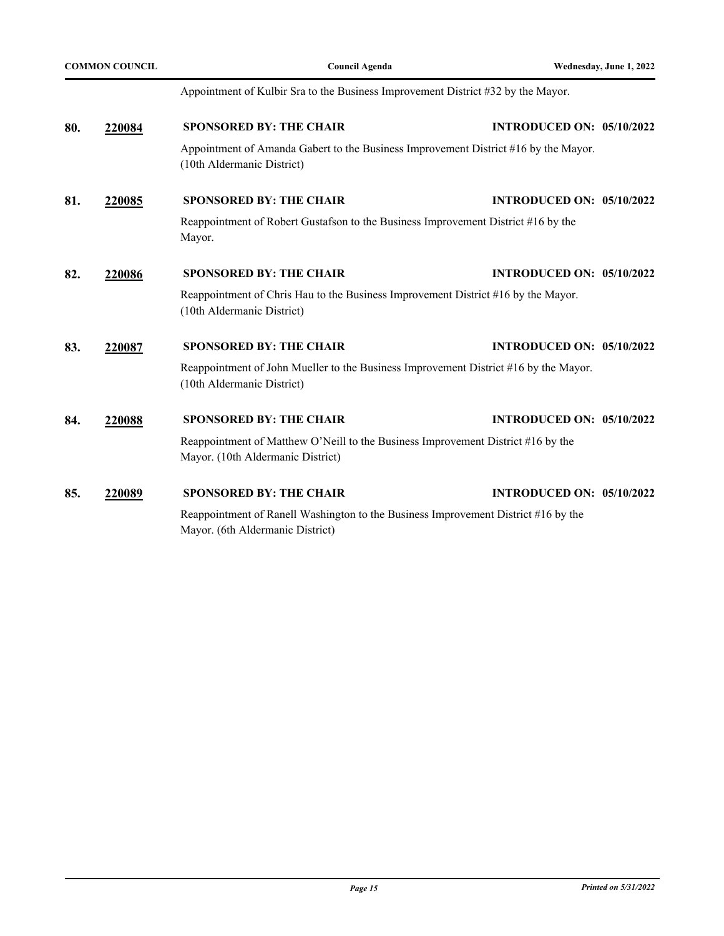|     | <b>COMMON COUNCIL</b> | <b>Council Agenda</b>                                                                                                 | Wednesday, June 1, 2022                                                                           |
|-----|-----------------------|-----------------------------------------------------------------------------------------------------------------------|---------------------------------------------------------------------------------------------------|
|     |                       | Appointment of Kulbir Sra to the Business Improvement District #32 by the Mayor.                                      |                                                                                                   |
| 80. | 220084                | <b>SPONSORED BY: THE CHAIR</b>                                                                                        | <b>INTRODUCED ON: 05/10/2022</b>                                                                  |
|     |                       | Appointment of Amanda Gabert to the Business Improvement District #16 by the Mayor.<br>(10th Aldermanic District)     |                                                                                                   |
| 81. | 220085                | <b>SPONSORED BY: THE CHAIR</b>                                                                                        | <b>INTRODUCED ON: 05/10/2022</b>                                                                  |
|     |                       | Reappointment of Robert Gustafson to the Business Improvement District #16 by the<br>Mayor.                           |                                                                                                   |
| 82. | 220086                | <b>SPONSORED BY: THE CHAIR</b>                                                                                        | <b>INTRODUCED ON: 05/10/2022</b>                                                                  |
|     |                       | Reappointment of Chris Hau to the Business Improvement District #16 by the Mayor.<br>(10th Aldermanic District)       |                                                                                                   |
| 83. | 220087                | <b>SPONSORED BY: THE CHAIR</b>                                                                                        | <b>INTRODUCED ON: 05/10/2022</b>                                                                  |
|     |                       | Reappointment of John Mueller to the Business Improvement District #16 by the Mayor.<br>(10th Aldermanic District)    |                                                                                                   |
| 84. | 220088                | <b>SPONSORED BY: THE CHAIR</b>                                                                                        | <b>INTRODUCED ON: 05/10/2022</b>                                                                  |
|     |                       | Reappointment of Matthew O'Neill to the Business Improvement District #16 by the<br>Mayor. (10th Aldermanic District) |                                                                                                   |
| 85. | 220089                | <b>SPONSORED BY: THE CHAIR</b>                                                                                        | <b>INTRODUCED ON: 05/10/2022</b>                                                                  |
|     |                       | $\mathbf{r}$ , $\mathbf{r}$ , $\mathbf{r}$ , $\mathbf{r}$ , $\mathbf{r}$ , $\mathbf{r}$ , $\mathbf{r}$ , $\mathbf{r}$ | $\mathbf{1} \mathbf{D}^* + \mathbf{1} \mathbf{1} + \mathbf{1} \mathbf{1} + \mathbf{1} \mathbf{1}$ |

Reappointment of Ranell Washington to the Business Improvement District #16 by the Mayor. (6th Aldermanic District)